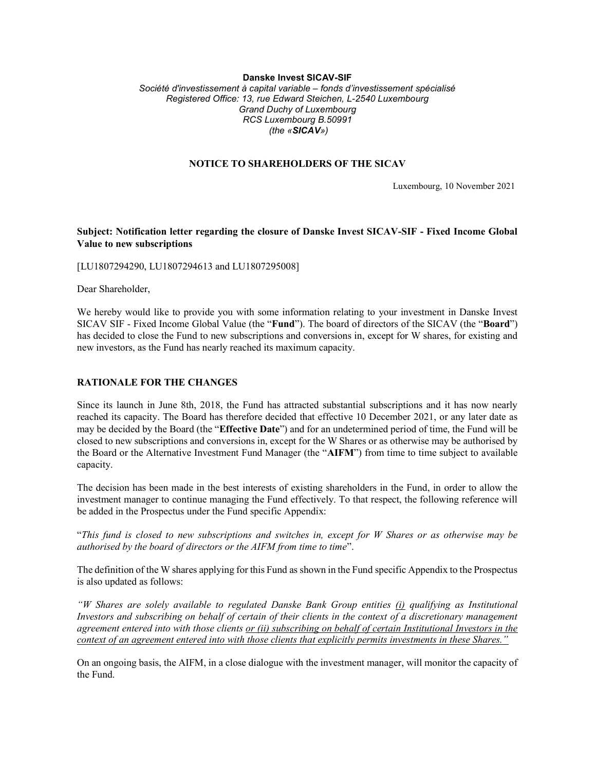## Danske Invest SICAV-SIF

Société d'investissement à capital variable – fonds d'investissement spécialisé Registered Office: 13, rue Edward Steichen, L-2540 Luxembourg Grand Duchy of Luxembourg RCS Luxembourg B.50991 (the «SICAV»)

## NOTICE TO SHAREHOLDERS OF THE SICAV

Luxembourg, 10 November 2021

## Subject: Notification letter regarding the closure of Danske Invest SICAV-SIF - Fixed Income Global Value to new subscriptions

[LU1807294290, LU1807294613 and LU1807295008]

Dear Shareholder,

We hereby would like to provide you with some information relating to your investment in Danske Invest SICAV SIF - Fixed Income Global Value (the "Fund"). The board of directors of the SICAV (the "Board") has decided to close the Fund to new subscriptions and conversions in, except for W shares, for existing and new investors, as the Fund has nearly reached its maximum capacity.

## RATIONALE FOR THE CHANGES

Since its launch in June 8th, 2018, the Fund has attracted substantial subscriptions and it has now nearly reached its capacity. The Board has therefore decided that effective 10 December 2021, or any later date as may be decided by the Board (the "Effective Date") and for an undetermined period of time, the Fund will be closed to new subscriptions and conversions in, except for the W Shares or as otherwise may be authorised by the Board or the Alternative Investment Fund Manager (the "AIFM") from time to time subject to available capacity.

The decision has been made in the best interests of existing shareholders in the Fund, in order to allow the investment manager to continue managing the Fund effectively. To that respect, the following reference will be added in the Prospectus under the Fund specific Appendix:

"This fund is closed to new subscriptions and switches in, except for W Shares or as otherwise may be authorised by the board of directors or the AIFM from time to time".

The definition of the W shares applying for this Fund as shown in the Fund specific Appendix to the Prospectus is also updated as follows:

"W Shares are solely available to regulated Danske Bank Group entities (i) qualifying as Institutional Investors and subscribing on behalf of certain of their clients in the context of a discretionary management agreement entered into with those clients or (ii) subscribing on behalf of certain Institutional Investors in the context of an agreement entered into with those clients that explicitly permits investments in these Shares."

On an ongoing basis, the AIFM, in a close dialogue with the investment manager, will monitor the capacity of the Fund.